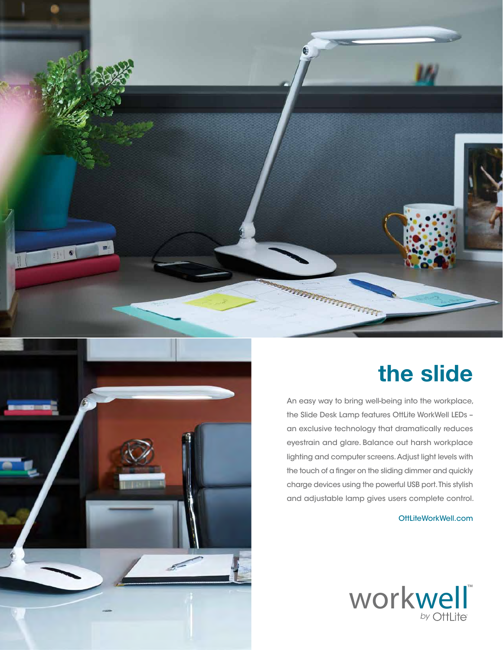

## **the slide**

An easy way to bring well-being into the workplace, the Slide Desk Lamp features OttLite WorkWell LEDs – an exclusive technology that dramatically reduces eyestrain and glare. Balance out harsh workplace lighting and computer screens. Adjust light levels with the touch of a finger on the sliding dimmer and quickly charge devices using the powerful USB port. This stylish and adjustable lamp gives users complete control.

## OttLiteWorkWell.com